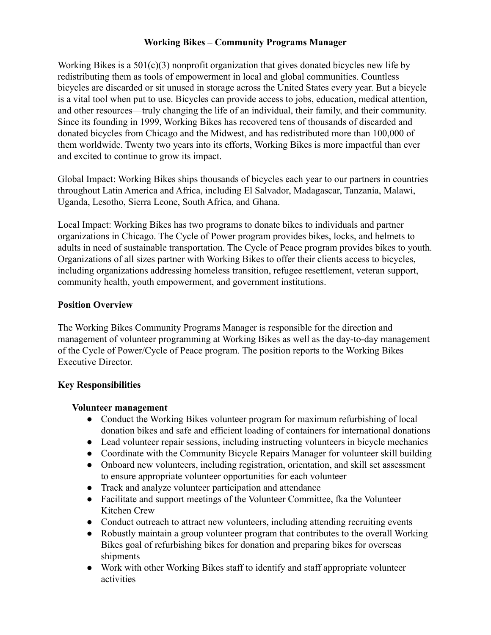# **Working Bikes – Community Programs Manager**

Working Bikes is a  $501(c)(3)$  nonprofit organization that gives donated bicycles new life by redistributing them as tools of empowerment in local and global communities. Countless bicycles are discarded or sit unused in storage across the United States every year. But a bicycle is a vital tool when put to use. Bicycles can provide access to jobs, education, medical attention, and other resources—truly changing the life of an individual, their family, and their community. Since its founding in 1999, Working Bikes has recovered tens of thousands of discarded and donated bicycles from Chicago and the Midwest, and has redistributed more than 100,000 of them worldwide. Twenty two years into its efforts, Working Bikes is more impactful than ever and excited to continue to grow its impact.

Global Impact: Working Bikes ships thousands of bicycles each year to our partners in countries throughout Latin America and Africa, including El Salvador, Madagascar, Tanzania, Malawi, Uganda, Lesotho, Sierra Leone, South Africa, and Ghana.

Local Impact: Working Bikes has two programs to donate bikes to individuals and partner organizations in Chicago. The Cycle of Power program provides bikes, locks, and helmets to adults in need of sustainable transportation. The Cycle of Peace program provides bikes to youth. Organizations of all sizes partner with Working Bikes to offer their clients access to bicycles, including organizations addressing homeless transition, refugee resettlement, veteran support, community health, youth empowerment, and government institutions.

## **Position Overview**

The Working Bikes Community Programs Manager is responsible for the direction and management of volunteer programming at Working Bikes as well as the day-to-day management of the Cycle of Power/Cycle of Peace program. The position reports to the Working Bikes Executive Director.

## **Key Responsibilities**

#### **Volunteer management**

- Conduct the Working Bikes volunteer program for maximum refurbishing of local donation bikes and safe and efficient loading of containers for international donations
- Lead volunteer repair sessions, including instructing volunteers in bicycle mechanics
- Coordinate with the Community Bicycle Repairs Manager for volunteer skill building
- Onboard new volunteers, including registration, orientation, and skill set assessment to ensure appropriate volunteer opportunities for each volunteer
- Track and analyze volunteer participation and attendance
- Facilitate and support meetings of the Volunteer Committee, fka the Volunteer Kitchen Crew
- Conduct outreach to attract new volunteers, including attending recruiting events
- Robustly maintain a group volunteer program that contributes to the overall Working Bikes goal of refurbishing bikes for donation and preparing bikes for overseas shipments
- Work with other Working Bikes staff to identify and staff appropriate volunteer activities